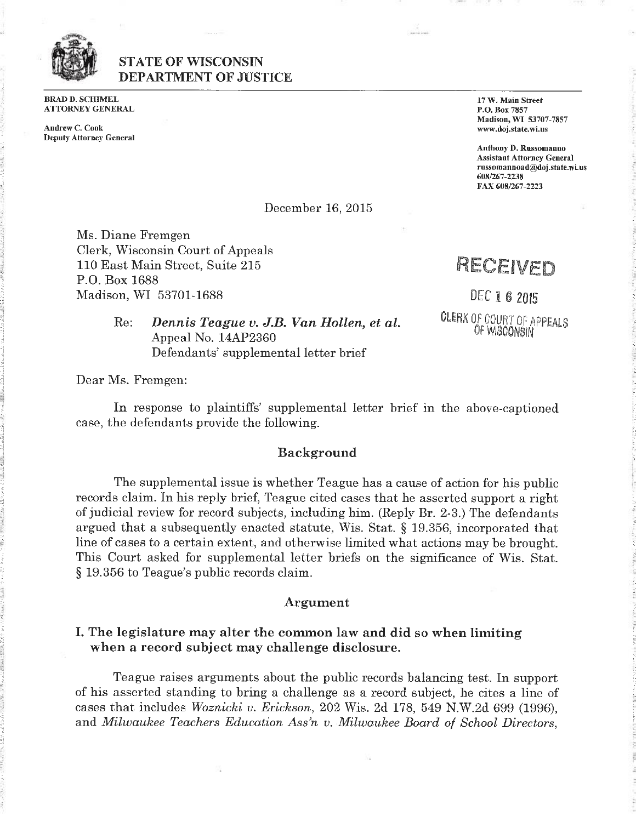

# STATE OF WISCONSIN DEPARTMENT OF JUSTICE

BRAD D. SCHIMEL ATTORNEY GENERAL

Andrew C. Cook [www.doj.state.wi.us](http://www.doj.state.wi.us) Deputy Attorney General

**:** •J

:Ii

*a )*

**1**

**:•**

**•:**

?

**:**

**a s**

17 W. Main Street P.O. Box 7857 Madison, WI 53707-7857

Anthony D. Russomanno Assistant Attorney General [russomannoad@doj.state.wi.us](mailto:russomannoad@doj.state.wi.us) 608/267-2238 FAX 608/267-2223

c

*i*

*z*

? *f.*

-■

A

December 16, 2015 **:** A

Ms. Diane Fremgen Clerk, Wisconsin Court of Appeals 110 East Main Street, Suite 215 P.O. Box 1688 **Madison, WI 53701-1688 8** - **DEC 1 6 2015** 

RECEIVED

DEC 1 *6* 2015 CLERK Of COURT Of APPEALS OF WISCONSIN

Re: *Dennis Teague v. J.B. Van Hollen, et ah* Appeal No. 14AP2360 ?. Defendants' supplemental letter brief

**:** Dear Ms. Fremgen:

In response to plaintiffs' supplemental letter brief in the above-captioned case, the defendants provide the following. **-**

# **b**. Background **V**

The supplemental issue is whether Teague has a cause of action for his public **I** records claim. In his reply brief, Teague cited cases that he asserted support a right of judicial review for record subjects, including him. (Reply Br. 2-3.) The defendants argued that a subsequently enacted statute, Wis. Stat. § 19.356, incorporated that line of cases to a certain extent, and otherwise limited what actions may be brought. This Court asked for supplemental letter briefs on the significance of Wis. Stat. § 19.356 to Teague's public records claim.

#### Argument

## I. The legislature may alter the common law and did so when limiting when a record subject may challenge disclosure.

**<sup>5</sup>** Teague raises arguments about the public records balancing test. In support of his asserted standing to bring a challenge as a record subject, he cites a line of cases that includes *Woznicki v. Erickson,* 202 Wis. 2d 178, 549 N.W.2d 699 (1996), **2** and *Milwaukee Teachers Education Ass'n v. Milwaukee Board of School Directors,*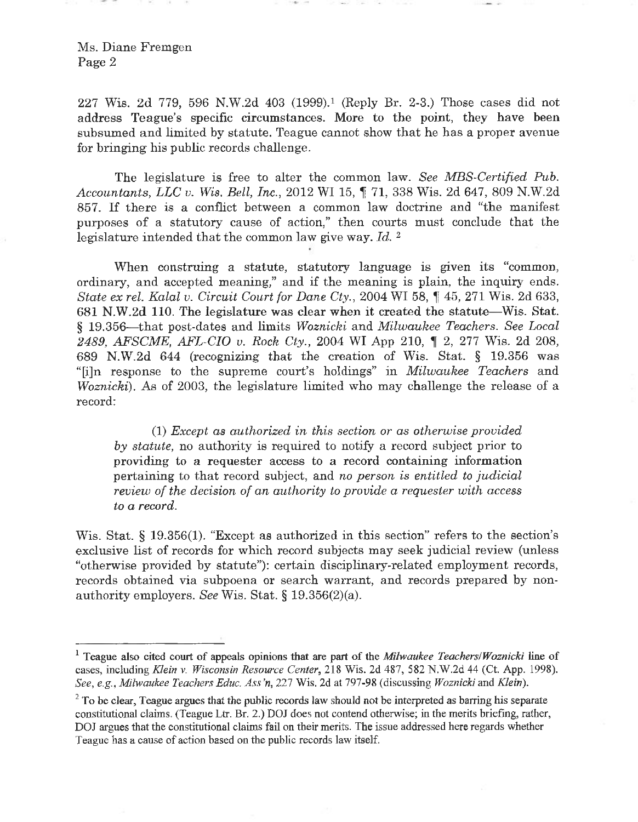227 Wis. 2d 779, 596 N.W.2d 403 (1999).1 (Reply Br. 2-3.) Those cases did not address Teague's specific circumstances. More to the point, they have been subsumed and limited by statute. Teague cannot show **that** he has a proper avenue for bringing his public records challenge.

The legislature is free to alter the common law. *See MBS-Certified Pub. Accountants, LLC v. Wis. Bell, Inc.,* <sup>2012</sup> WI 15, f 71, <sup>338</sup> Wis. 2d 647, <sup>809</sup> N.W.2d 857. If there is <sup>a</sup> conflict between <sup>a</sup> common law doctrine and "the manifest purposes of a **statutory** cause of action," then courts must conclude that the legislature intended that the common law give way. *Id. <sup>2</sup>*

When construing a statute, statutory language is given its "common, ordinary, and accepted meaning," and if the meaning is plain, the inquiry ends. *State ex rel. Kalal v. Circuit Court for Dane Cty.,* <sup>2004</sup> WI 58, f 45, <sup>271</sup> Wis. 2d 633, <sup>681</sup> N.W.2d 110. The legislature was clear when it created the statute—Wis. Stat. § 19.356—that post-dates and limits *Woznicki* and *Milwaukee Teachers. See Local 2489, AFSCME, AFL-CIO v. Rock Cty.,* <sup>2004</sup> WI App 210, **t** 2, <sup>277</sup> Wis. 2d 208, 689 N.W.2d 644 (recognizing that the creation of Wis. Stat. § 19.356 was "[i]n response to the supreme court's holdings" in *Milwaukee Teachers* and *Woznicki*). As of 2003, the legislature limited who may challenge the release of a record:

(1) *Except as authorized in this section or as otherwise provided by statute,* no authority is required to notify a record subject prior to providing to a requester access to a record containing information pertaining to that record subject, and *no person is entitled, to judicial review of the decision of an authority to provide a requester with access to a record.*

Wis. Stat. § 19.356(1). "Except as authorized in this section" refers to the section's exclusive list of records for which record subjects may seek judicial review (unless "otherwise provided by statute"): certain disciplinary-related employment records, records obtained via subpoena or search warrant, and records prepared by nonauthority employers. *See* Wis. Stat. § 19.356(2)(a).

<sup>&</sup>lt;sup>1</sup> Teague also cited court of appeals opinions that are part of the *Milwaukee Teachers/Woznicki* line of cases, including *Klein* v. *Wisconsin Resource Center*, 218 Wis. 2d 487, 582 N.W.2d 44 (Ct. App. 1998). *See*, *e.g., Milwaukee Teachers Educ. Ass'n,* 227 Wis. 2d at 797-98 (discussing *Woznicki* and *Klein).*

<sup>&</sup>lt;sup>2</sup> To be clear, Teague argues that the public records law should not be interpreted as barring his separate constitutional claims. (Teague Ltr. Br. 2.) DOJ does not contend otherwise; in the merits briefing, rather, DOJ argues that the constitutional claims fail on their merits. The issue addressed here regards whether Teague has a cause of action based on the public records law itself.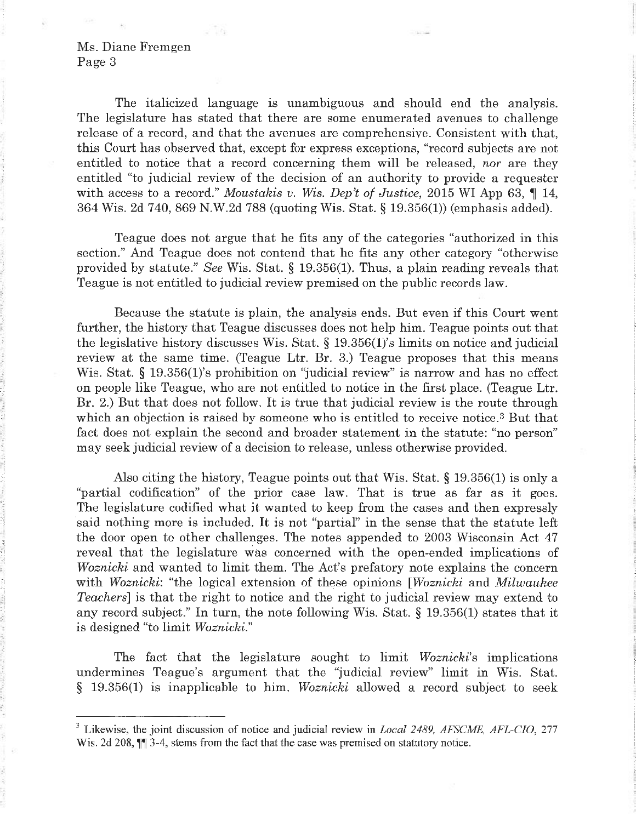*-*

*%*

*'Li*

**•••!** *i* **?!** V

The italicized language is unambiguous and should end the analysis. The legislature has stated that there are some enumerated avenues to challenge release of a record, and that the avenues are comprehensive. Consistent with that, this Court has observed that, except for express exceptions, "record subjects are not entitled to notice that <sup>a</sup> record concerning them will be released, *nor* are they entitled "to judicial review of the decision of an authority to provide a requester with access to a record." *Moustakis v. Wis. Dep't of Justice*, 2015 WI App 63,  $\P$  14, 364 Wis. 2d 740, 869 N.W.2d 788 (quoting Wis. Stat. § 19.356(1)) (emphasis added).

Teague does not argue that he fits any of the categories "authorized in this section." And Teague does not contend that he fits any other category "otherwise provided by statute." *See* Wis. Stat. § 19.356(1). Thus, a plain reading reveals that Teague is not entitled to judicial review premised on the public records law.

Because the statute is plain, the analysis ends. But even if this Court went further, the history that Teague discusses does not help him. Teague points out that the legislative history discusses Wis. Stat.  $\S$  19.356(1)'s limits on notice and judicial review at the same time. (Teague Ltr. Br. 3.) Teague proposes that this means Wis. Stat. § 19.356(1)'s prohibition on "judicial review" is narrow and has no effect on people like Teague, who are not entitled to notice in the first place. (Teague Ltr. Br. 2.) But that does not follow. It is true that judicial review is the route through which an objection is raised by someone who is entitled to receive notice.<sup>3</sup> But that fact does not explain the second and broader statement in the statute: "no person" may seek judicial review of a decision to release, unless otherwise provided.

Also citing the history, Teague points out that Wis. Stat.  $\S$  19.356(1) is only a "partial codification" of the prior case law. That is true as far as it goes. The legislature codified what it wanted to keep from the cases and then expressly said nothing more is included. It is not "partial" in the sense that the statute left the door open to other challenges. The notes appended to 2003 Wisconsin Act 47 reveal that the legislature was concerned with the open-ended implications of *Woznicki* and wanted to limit them. The Act's prefatory note explains the concern with *Woznicki*: "the logical extension of these opinions *[Woznicki* and *Milwaukee Teachers*] is that the right to notice and the right to judicial review may extend to any record subject." In turn, the note following Wis. Stat. § 19.356(1) states that it is designed "to limit *Woznicki*."

*i*

**:**

The fact that the legislature sought to limit *Woznicki'*<sup>s</sup> implications undermines Teague's argument that the "judicial review" limit in Wis. Stat. § 19.356(1) is inapplicable to him. *Woznicki* allowed a record subject to seek

<sup>3</sup> Likewise, the joint discussion of notice and judicial review in *Local 2489, AFSCME, AFL-CIO*, 277 Wis. 2d 208,  $\P$ <sup> $\P$ </sup> 3-4, stems from the fact that the case was premised on statutory notice.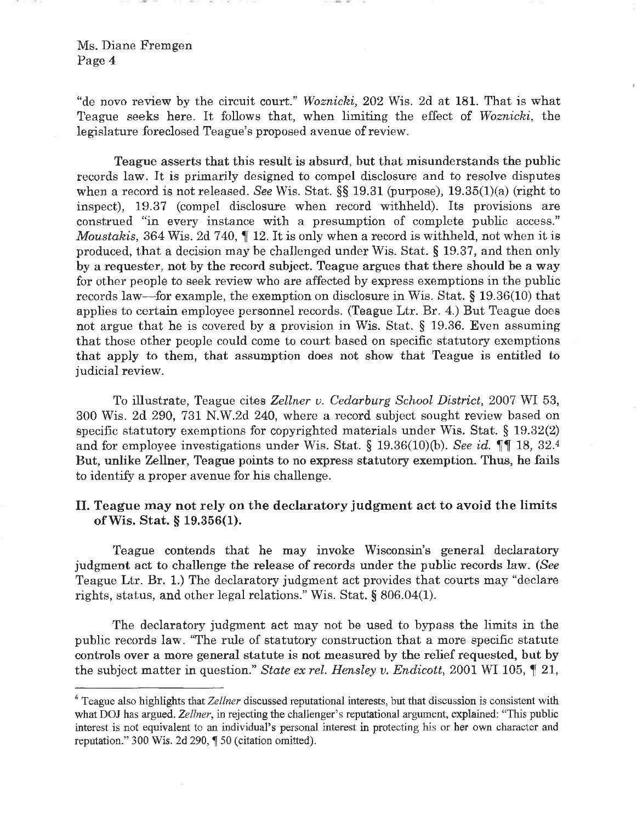"de novo review by the circuit court." *Woznicki,* 202 Wis. 2d at 181. That is what Teague seeks here. It follows that, when limiting the effect of *Woznicki,* the legislature foreclosed Teague's proposed avenue of review.

Teague asserts that this result is absurd, but that misunderstands the public records law. It is primarily designed to compel disclosure and to resolve disputes when a record is not released. *See* Wis. Stat. §§ 19.31 (purpose), 19.35(1)(a) (right to inspect), 19.37 (compel disclosure when record withheld). Its provisions are construed "in every instance with <sup>a</sup> presumption of complete public access." *Moustakis,* 364 Wis. 2d 740,  $\parallel$  12. It is only when a record is withheld, not when it is produced, that a decision may be challenged under Wis. Stat. § 19.37, and then only by a requester, not by the record subject. Teague argues that there should be a way for other people to seek review who are affected by express exemptions in the public records law—for example, the exemption on disclosure in Wis. Stat. § 19.36(10) that applies to certain employee personnel records. (Teague Ltr. Br. 4.) But Teague does not argue that he is covered by a provision in Wis. Stat. § 19.36. Even assuming that those other people could come to court based on specific statutory exemptions that apply to them, that assumption does not show that Teague is entitled to judicial review.

To illustrate, Teague cites *Zellner v. Cedarburg School District*, 2007 WI 53, 300 Wis. 2d 290, 731 N.W.2d 240, where a record subject sought review based on specific statutory exemptions for copyrighted materials under Wis. Stat. § 19.32(2) and for employee investigations under Wis. Stat. § 19.36(10)(b). *See id.*  $\P\P$  18, 32.4 But, unlike Zellner, Teague points to no express statutory exemption. Thus, he fails to identify a proper avenue for his challenge.

# **II. Teague may not rely on the declaratory judgment act to avoid the limits ofWis. Stat. § 19.356(1).**

Teague contends that he may invoke Wisconsin's general declaratory judgment act to challenge the release of records under the public records law. *(See* Teague Ltr. Br. 1.) The declaratory judgment act provides that courts may "declare rights, status, and other legal relations." Wis. Stat. § 806.04(1).

The declaratory judgment act may not be used to bypass the limits in the public records law. "The rule of **statutory** construction that a more specific statute controls over a more general statute is not measured by the relief requested, but by the subject matter in question." *State ex rel. Hensley v. Endicott*, 2001 WI 105,  $\P$  21,

<sup>4</sup> Teague also highlights that *Zellner* discussed reputational interests, but that discussion is consistent with what DOJ has argued. *Zellner*, in rejecting the challenger's reputational argument, explained: "This public interest is not equivalent to an individual's personal interest in protecting his or her own character and reputation." 300 Wis. 2d 290, ¶ 50 (citation omitted).